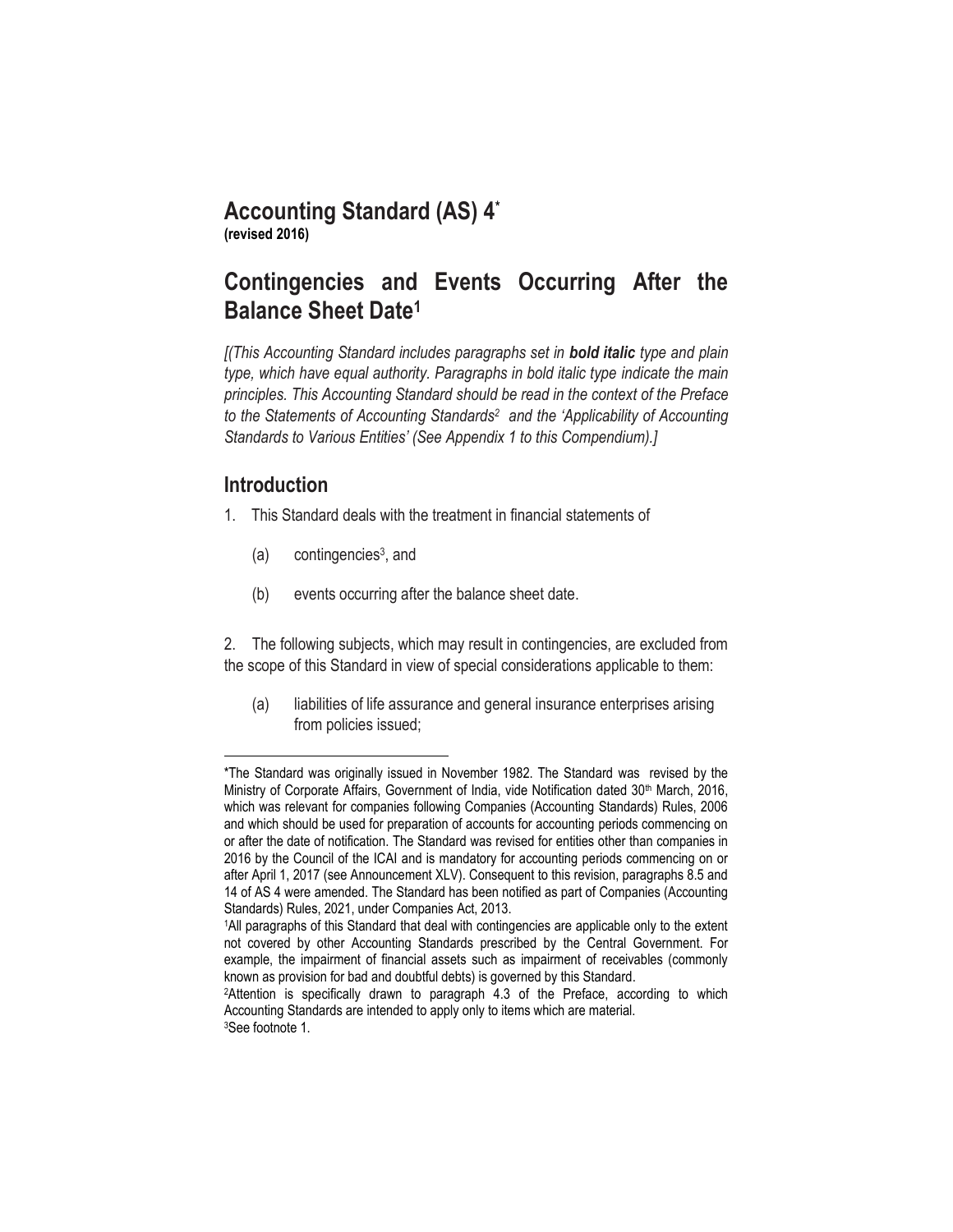### **Accounting Standard (AS) 4**\* **(revised 2016)**

# **Contingencies and Events Occurring After the Balance Sheet Date<sup>1</sup>**

*[(This Accounting Standard includes paragraphs set in bold italic type and plain type, which have equal authority. Paragraphs in bold italic type indicate the main principles. This Accounting Standard should be read in the context of the Preface to the Statements of Accounting Standards<sup>2</sup> and the 'Applicability of Accounting Standards to Various Entities' (See Appendix 1 to this Compendium).]*

## **Introduction**

l

- 1. This Standard deals with the treatment in financial statements of
	- $(a)$  contingencies<sup>3</sup>, and
	- (b) events occurring after the balance sheet date.

2. The following subjects, which may result in contingencies, are excluded from the scope of this Standard in view of special considerations applicable to them:

(a) liabilities of life assurance and general insurance enterprises arising from policies issued;

<sup>\*</sup>The Standard was originally issued in November 1982. The Standard was revised by the Ministry of Corporate Affairs, Government of India, vide Notification dated  $30<sup>th</sup>$  March, 2016, which was relevant for companies following Companies (Accounting Standards) Rules, 2006 and which should be used for preparation of accounts for accounting periods commencing on or after the date of notification. The Standard was revised for entities other than companies in 2016 by the Council of the ICAI and is mandatory for accounting periods commencing on or after April 1, 2017 (see Announcement XLV). Consequent to this revision, paragraphs 8.5 and 14 of AS 4 were amended. The Standard has been notified as part of Companies (Accounting Standards) Rules, 2021, under Companies Act, 2013.

<sup>1</sup>All paragraphs of this Standard that deal with contingencies are applicable only to the extent not covered by other Accounting Standards prescribed by the Central Government. For example, the impairment of financial assets such as impairment of receivables (commonly known as provision for bad and doubtful debts) is governed by this Standard.

<sup>2</sup>Attention is specifically drawn to paragraph 4.3 of the Preface, according to which Accounting Standards are intended to apply only to items which are material. 3See footnote 1.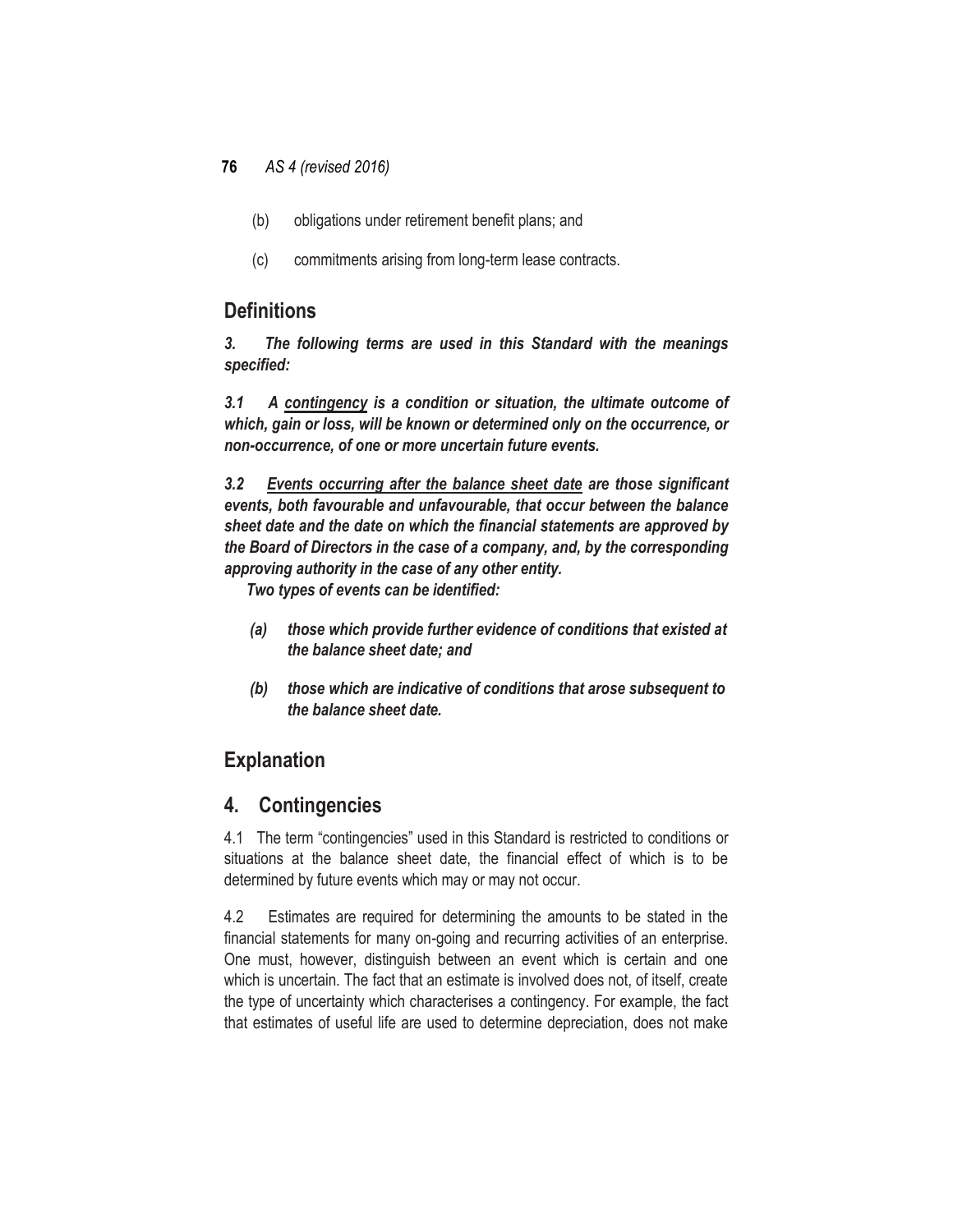#### **76** *AS 4 (revised 2016)*

- (b) obligations under retirement benefit plans; and
- (c) commitments arising from long-term lease contracts.

## **Definitions**

*3. The following terms are used in this Standard with the meanings specified:*

*3.1 A contingency is a condition or situation, the ultimate outcome of which, gain or loss, will be known or determined only on the occurrence, or non-occurrence, of one or more uncertain future events.*

*3.2 Events occurring after the balance sheet date are those significant events, both favourable and unfavourable, that occur between the balance sheet date and the date on which the financial statements are approved by the Board of Directors in the case of a company, and, by the corresponding approving authority in the case of any other entity.*

*Two types of events can be identified:*

- *(a) those which provide further evidence of conditions that existed at the balance sheet date; and*
- *(b) those which are indicative of conditions that arose subsequent to the balance sheet date.*

## **Explanation**

## **4. Contingencies**

4.1 The term "contingencies" used in this Standard is restricted to conditions or situations at the balance sheet date, the financial effect of which is to be determined by future events which may or may not occur.

4.2 Estimates are required for determining the amounts to be stated in the financial statements for many on-going and recurring activities of an enterprise. One must, however, distinguish between an event which is certain and one which is uncertain. The fact that an estimate is involved does not, of itself, create the type of uncertainty which characterises a contingency. For example, the fact that estimates of useful life are used to determine depreciation, does not make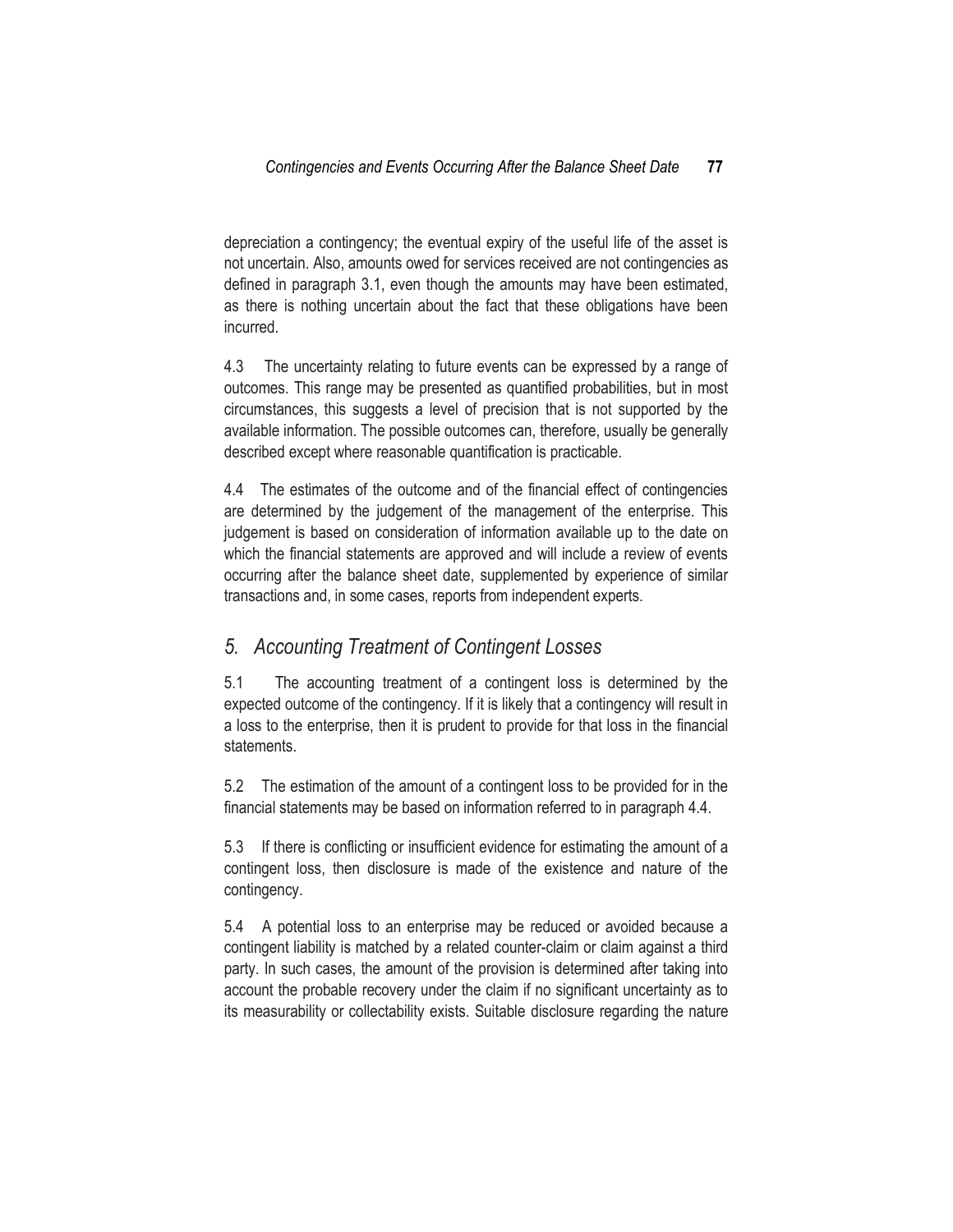depreciation a contingency; the eventual expiry of the useful life of the asset is not uncertain. Also, amounts owed for services received are not contingencies as defined in paragraph 3.1, even though the amounts may have been estimated, as there is nothing uncertain about the fact that these obligations have been incurred.

4.3 The uncertainty relating to future events can be expressed by a range of outcomes. This range may be presented as quantified probabilities, but in most circumstances, this suggests a level of precision that is not supported by the available information. The possible outcomes can, therefore, usually be generally described except where reasonable quantification is practicable.

4.4 The estimates of the outcome and of the financial effect of contingencies are determined by the judgement of the management of the enterprise. This judgement is based on consideration of information available up to the date on which the financial statements are approved and will include a review of events occurring after the balance sheet date, supplemented by experience of similar transactions and, in some cases, reports from independent experts.

### *5. Accounting Treatment of Contingent Losses*

5.1 The accounting treatment of a contingent loss is determined by the expected outcome of the contingency. If it is likely that a contingency will result in a loss to the enterprise, then it is prudent to provide for that loss in the financial statements.

5.2 The estimation of the amount of a contingent loss to be provided for in the financial statements may be based on information referred to in paragraph 4.4.

5.3 If there is conflicting or insufficient evidence for estimating the amount of a contingent loss, then disclosure is made of the existence and nature of the contingency.

5.4 A potential loss to an enterprise may be reduced or avoided because a contingent liability is matched by a related counter-claim or claim against a third party. In such cases, the amount of the provision is determined after taking into account the probable recovery under the claim if no significant uncertainty as to its measurability or collectability exists. Suitable disclosure regarding the nature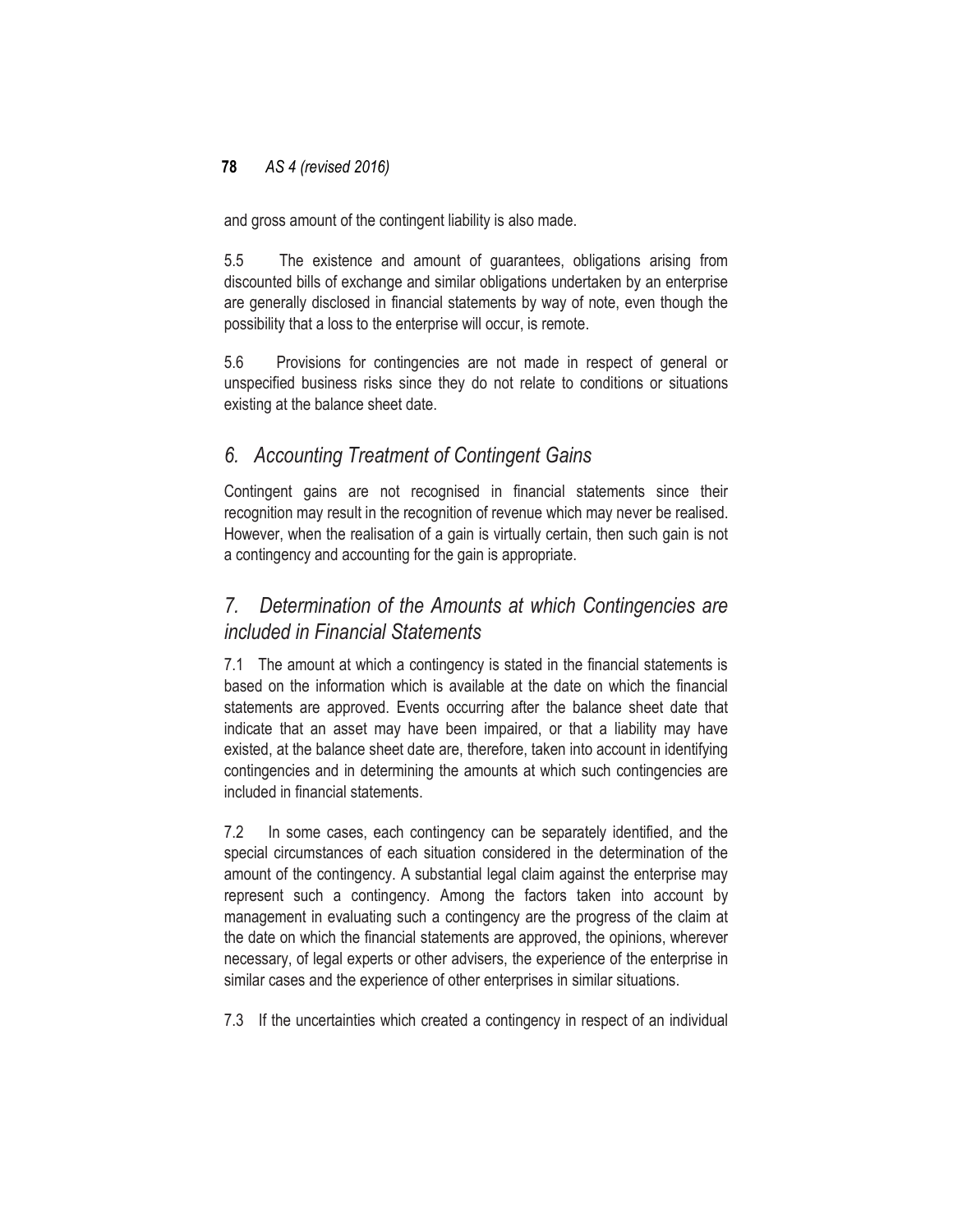#### **78** *AS 4 (revised 2016)*

and gross amount of the contingent liability is also made.

5.5 The existence and amount of guarantees, obligations arising from discounted bills of exchange and similar obligations undertaken by an enterprise are generally disclosed in financial statements by way of note, even though the possibility that a loss to the enterprise will occur, is remote.

5.6 Provisions for contingencies are not made in respect of general or unspecified business risks since they do not relate to conditions or situations existing at the balance sheet date.

## *6. Accounting Treatment of Contingent Gains*

Contingent gains are not recognised in financial statements since their recognition may result in the recognition of revenue which may never be realised. However, when the realisation of a gain is virtually certain, then such gain is not a contingency and accounting for the gain is appropriate.

## *7. Determination of the Amounts at which Contingencies are included in Financial Statements*

7.1 The amount at which a contingency is stated in the financial statements is based on the information which is available at the date on which the financial statements are approved. Events occurring after the balance sheet date that indicate that an asset may have been impaired, or that a liability may have existed, at the balance sheet date are, therefore, taken into account in identifying contingencies and in determining the amounts at which such contingencies are included in financial statements.

7.2 In some cases, each contingency can be separately identified, and the special circumstances of each situation considered in the determination of the amount of the contingency. A substantial legal claim against the enterprise may represent such a contingency. Among the factors taken into account by management in evaluating such a contingency are the progress of the claim at the date on which the financial statements are approved, the opinions, wherever necessary, of legal experts or other advisers, the experience of the enterprise in similar cases and the experience of other enterprises in similar situations.

7.3 If the uncertainties which created a contingency in respect of an individual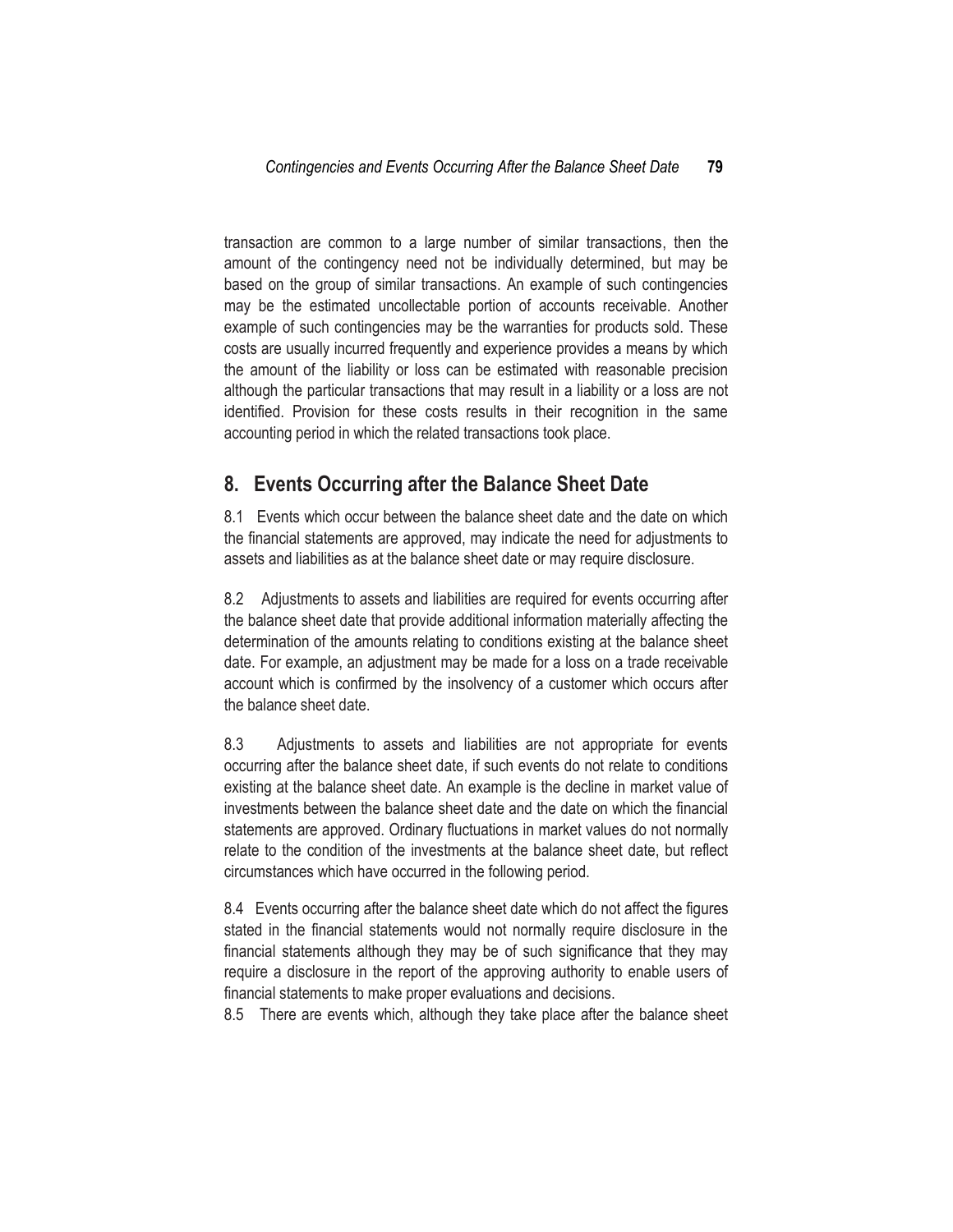transaction are common to a large number of similar transactions, then the amount of the contingency need not be individually determined, but may be based on the group of similar transactions. An example of such contingencies may be the estimated uncollectable portion of accounts receivable. Another example of such contingencies may be the warranties for products sold. These costs are usually incurred frequently and experience provides a means by which the amount of the liability or loss can be estimated with reasonable precision although the particular transactions that may result in a liability or a loss are not identified. Provision for these costs results in their recognition in the same accounting period in which the related transactions took place.

## **8. Events Occurring after the Balance Sheet Date**

8.1 Events which occur between the balance sheet date and the date on which the financial statements are approved, may indicate the need for adjustments to assets and liabilities as at the balance sheet date or may require disclosure.

8.2 Adjustments to assets and liabilities are required for events occurring after the balance sheet date that provide additional information materially affecting the determination of the amounts relating to conditions existing at the balance sheet date. For example, an adjustment may be made for a loss on a trade receivable account which is confirmed by the insolvency of a customer which occurs after the balance sheet date.

8.3 Adjustments to assets and liabilities are not appropriate for events occurring after the balance sheet date, if such events do not relate to conditions existing at the balance sheet date. An example is the decline in market value of investments between the balance sheet date and the date on which the financial statements are approved. Ordinary fluctuations in market values do not normally relate to the condition of the investments at the balance sheet date, but reflect circumstances which have occurred in the following period.

8.4 Events occurring after the balance sheet date which do not affect the figures stated in the financial statements would not normally require disclosure in the financial statements although they may be of such significance that they may require a disclosure in the report of the approving authority to enable users of financial statements to make proper evaluations and decisions.

8.5 There are events which, although they take place after the balance sheet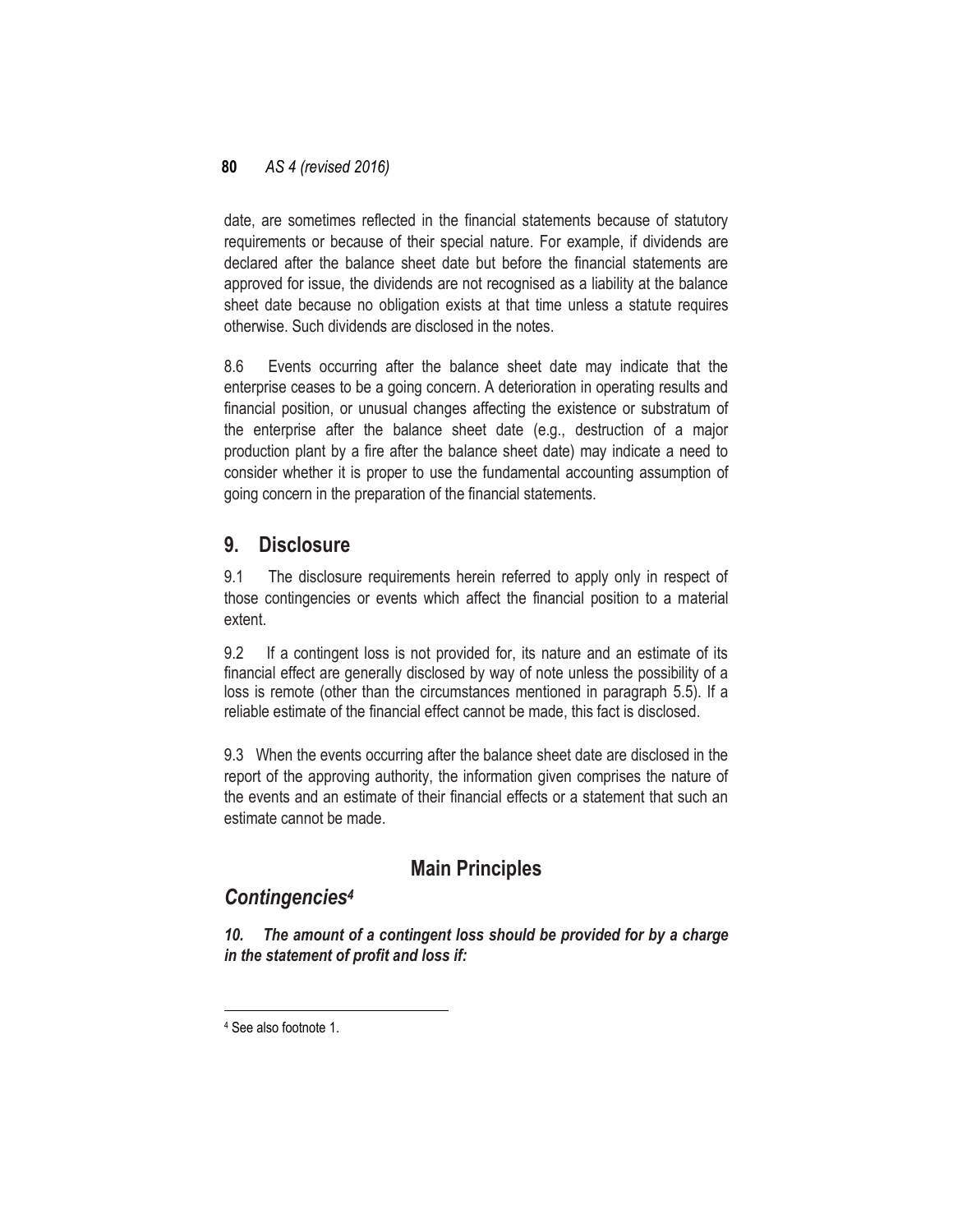#### **80** *AS 4 (revised 2016)*

date, are sometimes reflected in the financial statements because of statutory requirements or because of their special nature. For example, if dividends are declared after the balance sheet date but before the financial statements are approved for issue, the dividends are not recognised as a liability at the balance sheet date because no obligation exists at that time unless a statute requires otherwise. Such dividends are disclosed in the notes.

8.6 Events occurring after the balance sheet date may indicate that the enterprise ceases to be a going concern. A deterioration in operating results and financial position, or unusual changes affecting the existence or substratum of the enterprise after the balance sheet date (e.g., destruction of a major production plant by a fire after the balance sheet date) may indicate a need to consider whether it is proper to use the fundamental accounting assumption of going concern in the preparation of the financial statements.

## **9. Disclosure**

9.1 The disclosure requirements herein referred to apply only in respect of those contingencies or events which affect the financial position to a material extent.

9.2 If a contingent loss is not provided for, its nature and an estimate of its financial effect are generally disclosed by way of note unless the possibility of a loss is remote (other than the circumstances mentioned in paragraph 5.5). If a reliable estimate of the financial effect cannot be made, this fact is disclosed.

9.3 When the events occurring after the balance sheet date are disclosed in the report of the approving authority, the information given comprises the nature of the events and an estimate of their financial effects or a statement that such an estimate cannot be made.

## **Main Principles**

## *Contingencies<sup>4</sup>*

*10. The amount of a contingent loss should be provided for by a charge in the statement of profit and loss if:*

 $\overline{a}$ <sup>4</sup> See also footnote 1.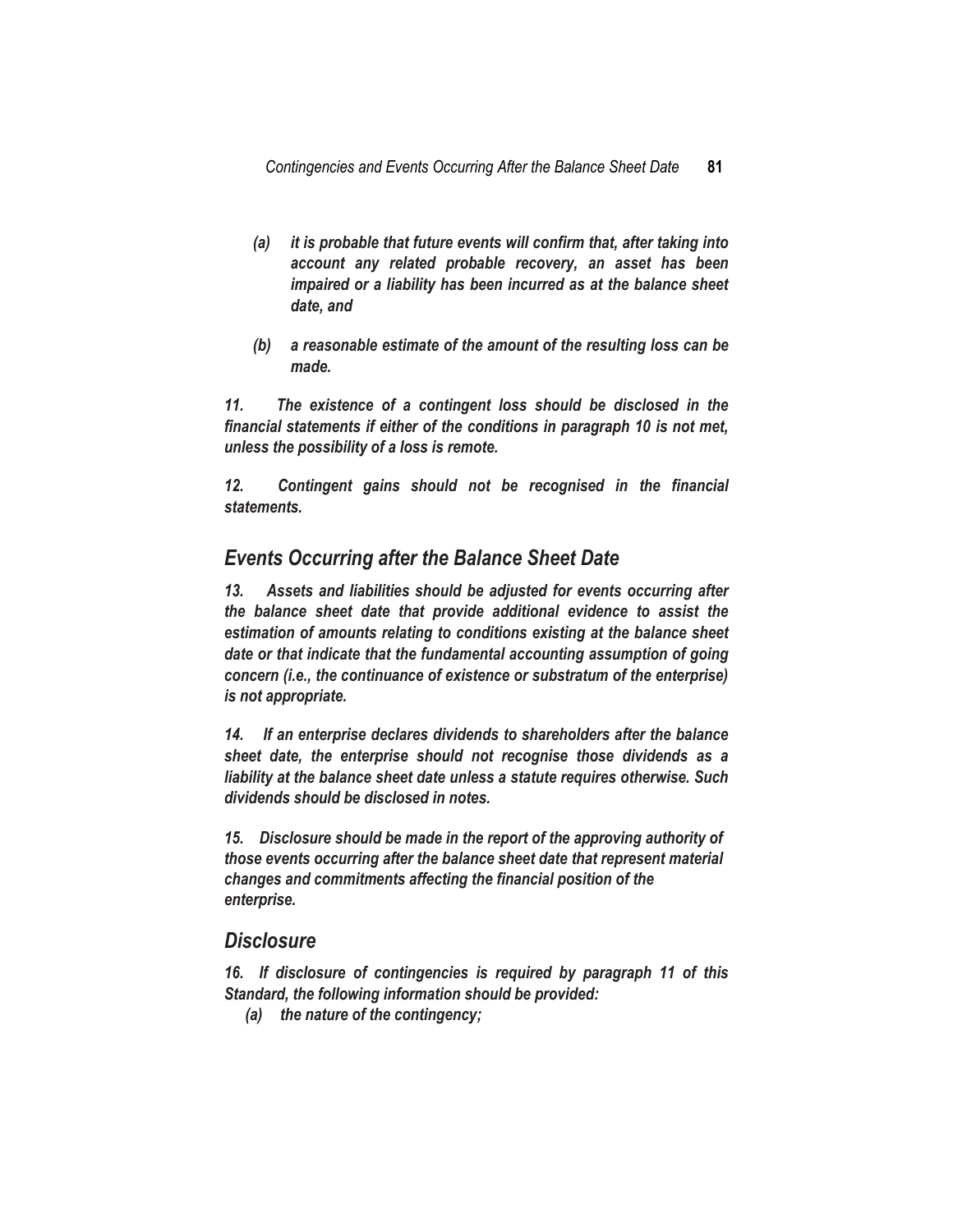- *(a) it is probable that future events will confirm that, after taking into account any related probable recovery, an asset has been impaired or a liability has been incurred as at the balance sheet date, and*
- *(b) a reasonable estimate of the amount of the resulting loss can be made.*

*11. The existence of a contingent loss should be disclosed in the financial statements if either of the conditions in paragraph 10 is not met, unless the possibility of a loss is remote.*

*12. Contingent gains should not be recognised in the financial statements.*

## *Events Occurring after the Balance Sheet Date*

*13. Assets and liabilities should be adjusted for events occurring after the balance sheet date that provide additional evidence to assist the estimation of amounts relating to conditions existing at the balance sheet date or that indicate that the fundamental accounting assumption of going concern (i.e., the continuance of existence or substratum of the enterprise) is not appropriate.*

*14. If an enterprise declares dividends to shareholders after the balance sheet date, the enterprise should not recognise those dividends as a liability at the balance sheet date unless a statute requires otherwise. Such dividends should be disclosed in notes.*

*15. Disclosure should be made in the report of the approving authority of those events occurring after the balance sheet date that represent material changes and commitments affecting the financial position of the enterprise.*

#### *Disclosure*

*16. If disclosure of contingencies is required by paragraph 11 of this Standard, the following information should be provided:* 

*(a) the nature of the contingency;*